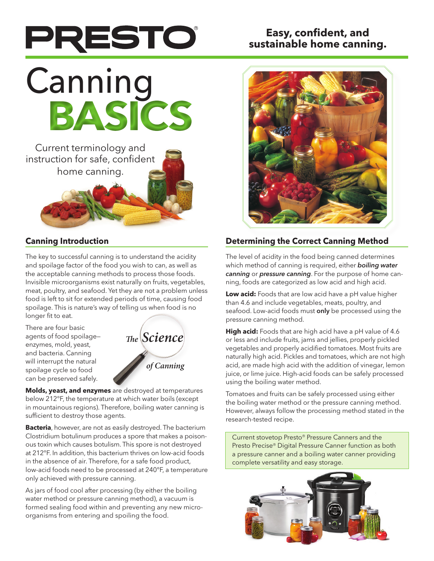## PRESTO

## **Easy, confident, and sustainable home canning.**

# **Canning BASICS**



## **Canning Introduction**

The key to successful canning is to understand the acidity and spoilage factor of the food you wish to can, as well as the acceptable canning methods to process those foods. Invisible microorganisms exist naturally on fruits, vegetables, meat, poultry, and seafood. Yet they are not a problem unless food is left to sit for extended periods of time, causing food spoilage. This is nature's way of telling us when food is no longer fit to eat.

There are four basic agents of food spoilage enzymes, mold, yeast, and bacteria. Canning will interrupt the natural spoilage cycle so food can be preserved safely.



**Molds, yeast, and enzymes** are destroyed at temperatures below 212°F, the temperature at which water boils (except in mountainous regions). Therefore, boiling water canning is sufficient to destroy those agents.

**Bacteria**, however, are not as easily destroyed. The bacterium Clostridium botulinum produces a spore that makes a poisonous toxin which causes botulism. This spore is not destroyed at 212°F. In addition, this bacterium thrives on low-acid foods in the absence of air. Therefore, for a safe food product, low-acid foods need to be processed at 240°F, a temperature only achieved with pressure canning.

As jars of food cool after processing (by either the boiling water method or pressure canning method), a vacuum is formed sealing food within and preventing any new microorganisms from entering and spoiling the food.



## **Determining the Correct Canning Method**

The level of acidity in the food being canned determines which method of canning is required, either *boiling water canning* or *pressure canning*. For the purpose of home canning, foods are categorized as low acid and high acid.

**Low acid:** Foods that are low acid have a pH value higher than 4.6 and include vegetables, meats, poultry, and seafood. Low-acid foods must only be processed using the pressure canning method.

**High acid:** Foods that are high acid have a pH value of 4.6 or less and include fruits, jams and jellies, properly pickled vegetables and properly acidified tomatoes. Most fruits are naturally high acid. Pickles and tomatoes, which are not high acid, are made high acid with the addition of vinegar, lemon juice, or lime juice. High-acid foods can be safely processed using the boiling water method.

Tomatoes and fruits can be safely processed using either the boiling water method or the pressure canning method. However, always follow the processing method stated in the research-tested recipe.

Current stovetop Presto® Pressure Canners and the Presto Precise® Digital Pressure Canner function as both a pressure canner and a boiling water canner providing complete versatility and easy storage.

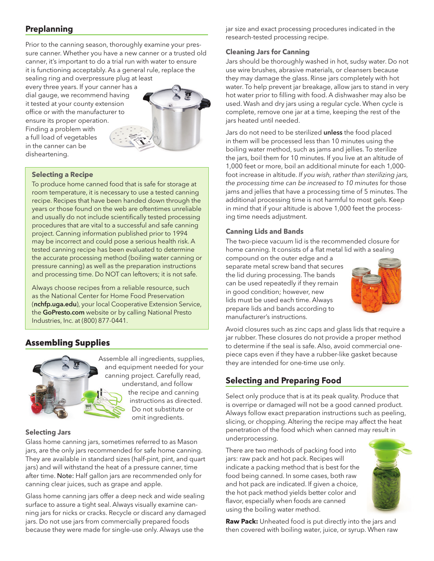#### **Preplanning**

Prior to the canning season, thoroughly examine your pressure canner. Whether you have a new canner or a trusted old canner, it's important to do a trial run with water to ensure it is functioning acceptably. As a general rule, replace the sealing ring and overpressure plug at least

every three years. If your canner has a dial gauge, we recommend having it tested at your county extension office or with the manufacturer to ensure its proper operation. Finding a problem with a full load of vegetables in the canner can be disheartening.



#### **Selecting a Recipe**

To produce home canned food that is safe for storage at room temperature, it is necessary to use a tested canning recipe. Recipes that have been handed down through the years or those found on the web are oftentimes unreliable and usually do not include scientifically tested processing procedures that are vital to a successful and safe canning project. Canning information published prior to 1994 may be incorrect and could pose a serious health risk. A tested canning recipe has been evaluated to determine the accurate processing method (boiling water canning or pressure canning) as well as the preparation instructions and processing time. Do NOT can leftovers; it is not safe.

Always choose recipes from a reliable resource, such as the National Center for Home Food Preservation (nchfp.uga.edu), your local Cooperative Extension Service, the GoPresto.com website or by calling National Presto Industries, Inc. at (800) 877-0441.

#### **Assembling Supplies**



**Selecting Jars**

Glass home canning jars, sometimes referred to as Mason jars, are the only jars recommended for safe home canning. They are available in standard sizes (half-pint, pint, and quart jars) and will withstand the heat of a pressure canner, time after time. Note: Half gallon jars are recommended only for canning clear juices, such as grape and apple.

Glass home canning jars offer a deep neck and wide sealing surface to assure a tight seal. Always visually examine canning jars for nicks or cracks. Recycle or discard any damaged jars. Do not use jars from commercially prepared foods because they were made for single-use only. Always use the

jar size and exact processing procedures indicated in the research-tested processing recipe.

#### **Cleaning Jars for Canning**

Jars should be thoroughly washed in hot, sudsy water. Do not use wire brushes, abrasive materials, or cleansers because they may damage the glass. Rinse jars completely with hot water. To help prevent jar breakage, allow jars to stand in very hot water prior to filling with food. A dishwasher may also be used. Wash and dry jars using a regular cycle. When cycle is complete, remove one jar at a time, keeping the rest of the jars heated until needed.

Jars do not need to be sterilized unless the food placed in them will be processed less than 10 minutes using the boiling water method, such as jams and jellies. To sterilize the jars, boil them for 10 minutes. If you live at an altitude of 1,000 feet or more, boil an additional minute for each 1,000 foot increase in altitude. *If you wish, rather than sterilizing jars, the processing time can be increased to 10 minutes* for those jams and jellies that have a processing time of 5 minutes. The additional processing time is not harmful to most gels. Keep in mind that if your altitude is above 1,000 feet the processing time needs adjustment.

#### **Canning Lids and Bands**

The two-piece vacuum lid is the recommended closure for home canning. It consists of a flat metal lid with a sealing

compound on the outer edge and a separate metal screw band that secures the lid during processing. The bands can be used repeatedly if they remain in good condition; however, new lids must be used each time. Always prepare lids and bands according to manufacturer's instructions.



Avoid closures such as zinc caps and glass lids that require a jar rubber. These closures do not provide a proper method to determine if the seal is safe. Also, avoid commercial onepiece caps even if they have a rubber-like gasket because they are intended for one-time use only.

## **Selecting and Preparing Food**

Select only produce that is at its peak quality. Produce that is overripe or damaged will not be a good canned product. Always follow exact preparation instructions such as peeling, slicing, or chopping. Altering the recipe may affect the heat penetration of the food which when canned may result in underprocessing.

There are two methods of packing food into jars: raw pack and hot pack. Recipes will indicate a packing method that is best for the food being canned. In some cases, both raw and hot pack are indicated. If given a choice, the hot pack method yields better color and flavor, especially when foods are canned using the boiling water method.



**Raw Pack:** Unheated food is put directly into the jars and then covered with boiling water, juice, or syrup. When raw